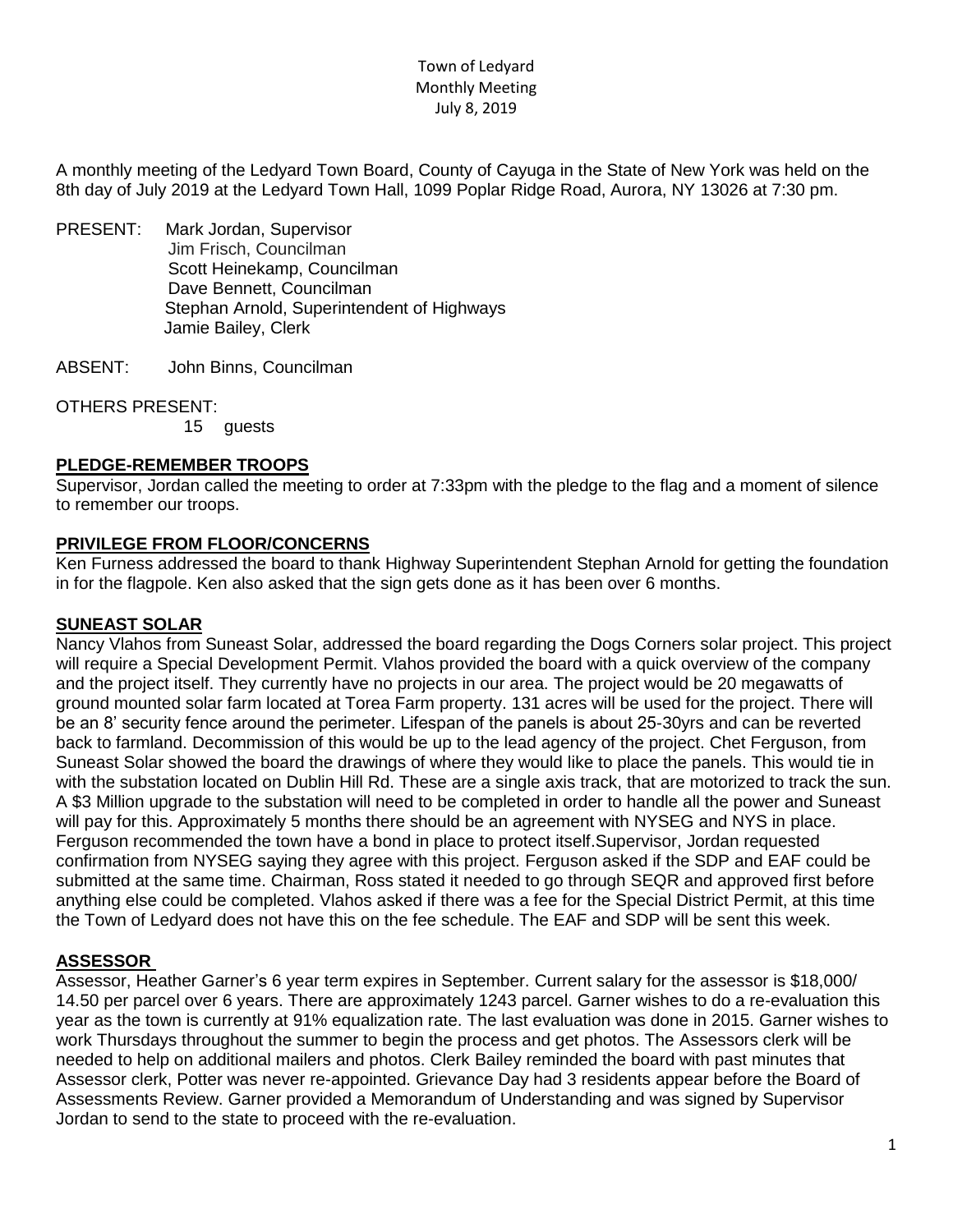# Town of Ledyard Monthly Meeting July 8, 2019

A monthly meeting of the Ledyard Town Board, County of Cayuga in the State of New York was held on the 8th day of July 2019 at the Ledyard Town Hall, 1099 Poplar Ridge Road, Aurora, NY 13026 at 7:30 pm.

- PRESENT: Mark Jordan, Supervisor Jim Frisch, Councilman Scott Heinekamp, Councilman Dave Bennett, Councilman Stephan Arnold, Superintendent of Highways Jamie Bailey, Clerk
- ABSENT: John Binns, Councilman

OTHERS PRESENT:

15 guests

# **PLEDGE-REMEMBER TROOPS**

Supervisor, Jordan called the meeting to order at 7:33pm with the pledge to the flag and a moment of silence to remember our troops.

# **PRIVILEGE FROM FLOOR/CONCERNS**

Ken Furness addressed the board to thank Highway Superintendent Stephan Arnold for getting the foundation in for the flagpole. Ken also asked that the sign gets done as it has been over 6 months.

#### **SUNEAST SOLAR**

Nancy Vlahos from Suneast Solar, addressed the board regarding the Dogs Corners solar project. This project will require a Special Development Permit. Vlahos provided the board with a quick overview of the company and the project itself. They currently have no projects in our area. The project would be 20 megawatts of ground mounted solar farm located at Torea Farm property. 131 acres will be used for the project. There will be an 8' security fence around the perimeter. Lifespan of the panels is about 25-30yrs and can be reverted back to farmland. Decommission of this would be up to the lead agency of the project. Chet Ferguson, from Suneast Solar showed the board the drawings of where they would like to place the panels. This would tie in with the substation located on Dublin Hill Rd. These are a single axis track, that are motorized to track the sun. A \$3 Million upgrade to the substation will need to be completed in order to handle all the power and Suneast will pay for this. Approximately 5 months there should be an agreement with NYSEG and NYS in place. Ferguson recommended the town have a bond in place to protect itself.Supervisor, Jordan requested confirmation from NYSEG saying they agree with this project. Ferguson asked if the SDP and EAF could be submitted at the same time. Chairman, Ross stated it needed to go through SEQR and approved first before anything else could be completed. Vlahos asked if there was a fee for the Special District Permit, at this time the Town of Ledyard does not have this on the fee schedule. The EAF and SDP will be sent this week.

# **ASSESSOR**

Assessor, Heather Garner's 6 year term expires in September. Current salary for the assessor is \$18,000/ 14.50 per parcel over 6 years. There are approximately 1243 parcel. Garner wishes to do a re-evaluation this year as the town is currently at 91% equalization rate. The last evaluation was done in 2015. Garner wishes to work Thursdays throughout the summer to begin the process and get photos. The Assessors clerk will be needed to help on additional mailers and photos. Clerk Bailey reminded the board with past minutes that Assessor clerk, Potter was never re-appointed. Grievance Day had 3 residents appear before the Board of Assessments Review. Garner provided a Memorandum of Understanding and was signed by Supervisor Jordan to send to the state to proceed with the re-evaluation.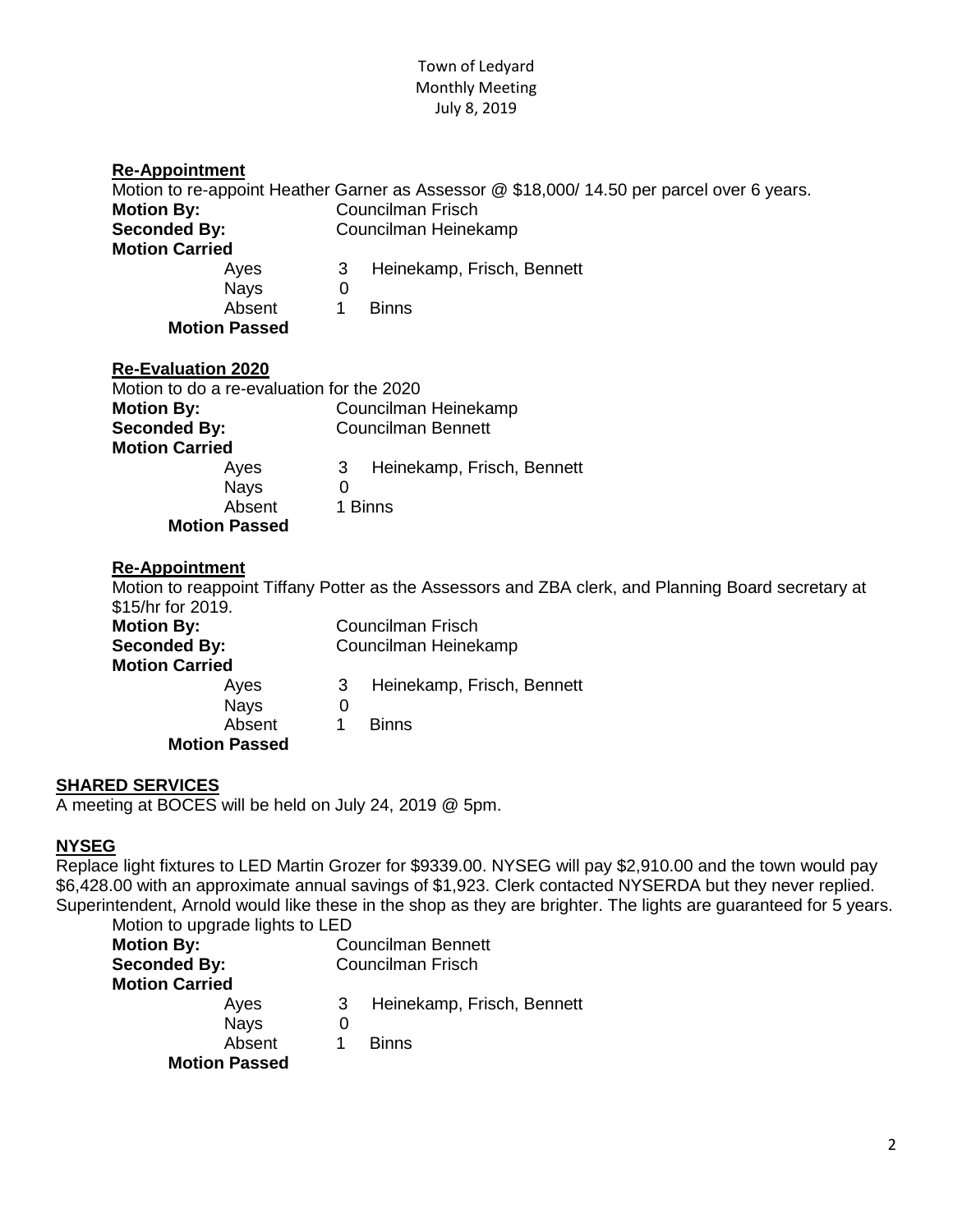#### Town of Ledyard Monthly Meeting July 8, 2019

| <b>Re-Appointment</b>                     |                                                                                                                        |  |  |  |
|-------------------------------------------|------------------------------------------------------------------------------------------------------------------------|--|--|--|
| <b>Motion By:</b>                         | Motion to re-appoint Heather Garner as Assessor @ \$18,000/ 14.50 per parcel over 6 years.<br><b>Councilman Frisch</b> |  |  |  |
|                                           |                                                                                                                        |  |  |  |
| <b>Seconded By:</b>                       | Councilman Heinekamp                                                                                                   |  |  |  |
| <b>Motion Carried</b>                     |                                                                                                                        |  |  |  |
| Ayes                                      | 3<br>Heinekamp, Frisch, Bennett                                                                                        |  |  |  |
| <b>Nays</b>                               | $\Omega$                                                                                                               |  |  |  |
| Absent                                    | <b>Binns</b><br>1                                                                                                      |  |  |  |
| <b>Motion Passed</b>                      |                                                                                                                        |  |  |  |
| <b>Re-Evaluation 2020</b>                 |                                                                                                                        |  |  |  |
| Motion to do a re-evaluation for the 2020 |                                                                                                                        |  |  |  |
| <b>Motion By:</b>                         | Councilman Heinekamp                                                                                                   |  |  |  |
| <b>Seconded By:</b>                       | <b>Councilman Bennett</b>                                                                                              |  |  |  |
| <b>Motion Carried</b>                     |                                                                                                                        |  |  |  |
| Ayes                                      | 3<br>Heinekamp, Frisch, Bennett                                                                                        |  |  |  |
| <b>Nays</b>                               | $\Omega$                                                                                                               |  |  |  |
| Absent                                    | 1 Binns                                                                                                                |  |  |  |
| <b>Motion Passed</b>                      |                                                                                                                        |  |  |  |
| <b>Re-Appointment</b>                     |                                                                                                                        |  |  |  |
|                                           | Motion to reappoint Tiffany Potter as the Assessors and ZBA clerk, and Planning Board secretary at                     |  |  |  |
| \$15/hr for 2019.                         |                                                                                                                        |  |  |  |
| <b>Motion By:</b>                         | <b>Councilman Frisch</b>                                                                                               |  |  |  |
| <b>Seconded By:</b>                       | Councilman Heinekamp                                                                                                   |  |  |  |
| <b>Motion Carried</b>                     |                                                                                                                        |  |  |  |
| Ayes                                      | 3<br>Heinekamp, Frisch, Bennett                                                                                        |  |  |  |
| <b>Nays</b>                               | $\overline{0}$                                                                                                         |  |  |  |
| Absent                                    | 1<br><b>Binns</b>                                                                                                      |  |  |  |

**SHARED SERVICES**

A meeting at BOCES will be held on July 24, 2019 @ 5pm.

**Motion Passed**

# **NYSEG**

Replace light fixtures to LED Martin Grozer for \$9339.00. NYSEG will pay \$2,910.00 and the town would pay \$6,428.00 with an approximate annual savings of \$1,923. Clerk contacted NYSERDA but they never replied. Superintendent, Arnold would like these in the shop as they are brighter. The lights are guaranteed for 5 years. Motion to upgrade lights to LED

| <b>Motion By:</b>     |                      |          | <b>Councilman Bennett</b>  |  |  |
|-----------------------|----------------------|----------|----------------------------|--|--|
|                       | <b>Seconded By:</b>  |          | <b>Councilman Frisch</b>   |  |  |
| <b>Motion Carried</b> |                      |          |                            |  |  |
|                       | Ayes                 | 3        | Heinekamp, Frisch, Bennett |  |  |
|                       | <b>Nays</b>          | $\Omega$ |                            |  |  |
|                       | Absent               |          | <b>Binns</b>               |  |  |
|                       | <b>Motion Passed</b> |          |                            |  |  |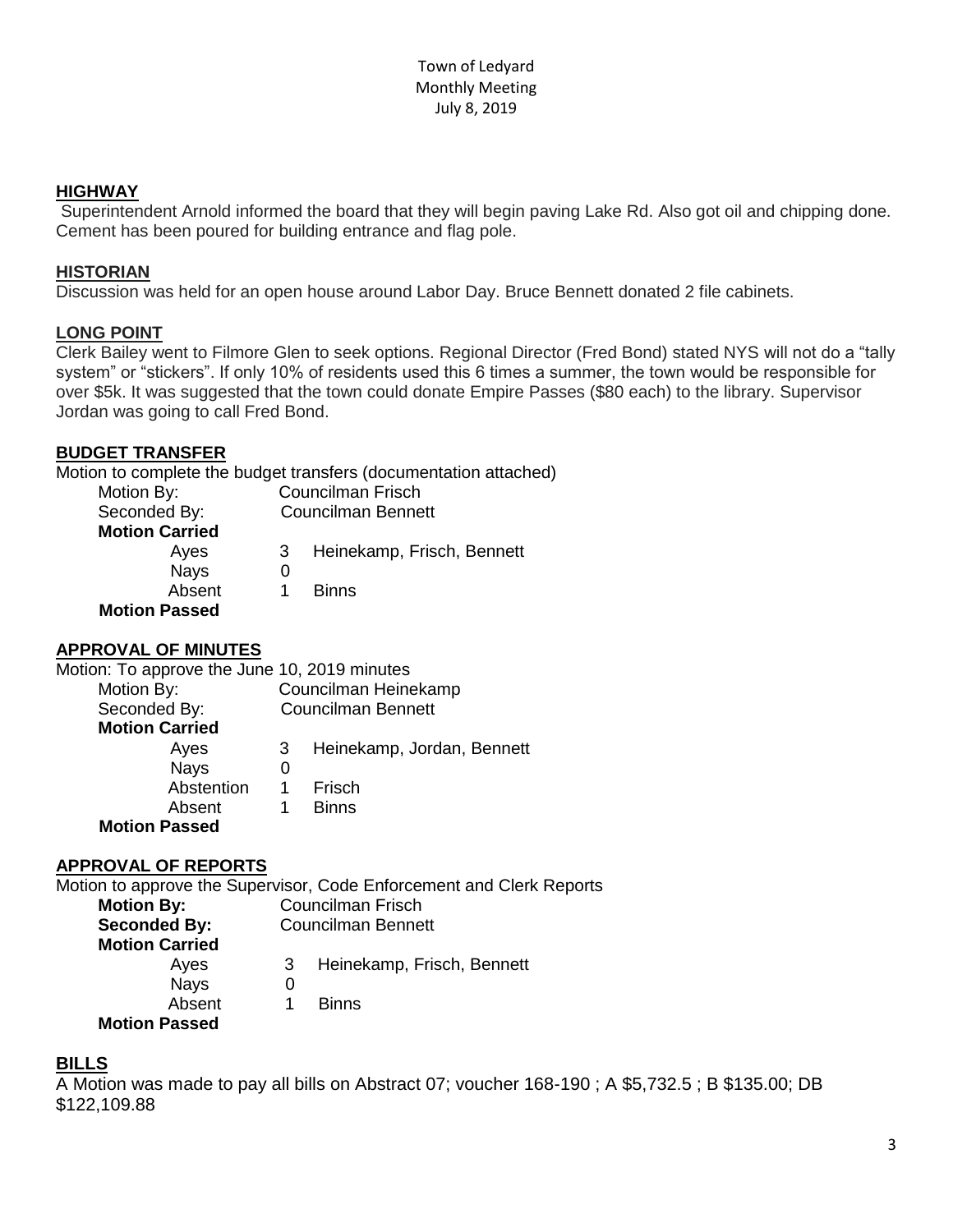#### **HIGHWAY**

Superintendent Arnold informed the board that they will begin paving Lake Rd. Also got oil and chipping done. Cement has been poured for building entrance and flag pole.

#### **HISTORIAN**

Discussion was held for an open house around Labor Day. Bruce Bennett donated 2 file cabinets.

# **LONG POINT**

Clerk Bailey went to Filmore Glen to seek options. Regional Director (Fred Bond) stated NYS will not do a "tally system" or "stickers". If only 10% of residents used this 6 times a summer, the town would be responsible for over \$5k. It was suggested that the town could donate Empire Passes (\$80 each) to the library. Supervisor Jordan was going to call Fred Bond.

#### **BUDGET TRANSFER**

Motion to complete the budget transfers (documentation attached)

| Motion By:            | Councilman Frisch |                            |  |
|-----------------------|-------------------|----------------------------|--|
| Seconded By:          |                   | <b>Councilman Bennett</b>  |  |
| <b>Motion Carried</b> |                   |                            |  |
| Ayes                  | 3                 | Heinekamp, Frisch, Bennett |  |
| <b>Nays</b>           |                   |                            |  |
| Absent                |                   | <b>Binns</b>               |  |
| <b>Motion Passed</b>  |                   |                            |  |

# **APPROVAL OF MINUTES**

Motion: To approve the June 10, 2019 minutes

| Councilman Heinekamp |                            |  |
|----------------------|----------------------------|--|
|                      | <b>Councilman Bennett</b>  |  |
|                      |                            |  |
| 3                    | Heinekamp, Jordan, Bennett |  |
|                      |                            |  |
|                      | Frisch                     |  |
| 1                    | <b>Binns</b>               |  |
|                      |                            |  |
|                      |                            |  |

# **APPROVAL OF REPORTS**

Motion to approve the Supervisor, Code Enforcement and Clerk Reports **Motion By:** Councilman Frisch **Seconded By:** Councilman Bennett **Motion Carried** Ayes 3 Heinekamp, Frisch, Bennett Nays 0 Absent 1 Binns **Motion Passed**

# **BILLS**

A Motion was made to pay all bills on Abstract 07; voucher 168-190 ; A \$5,732.5 ; B \$135.00; DB \$122,109.88